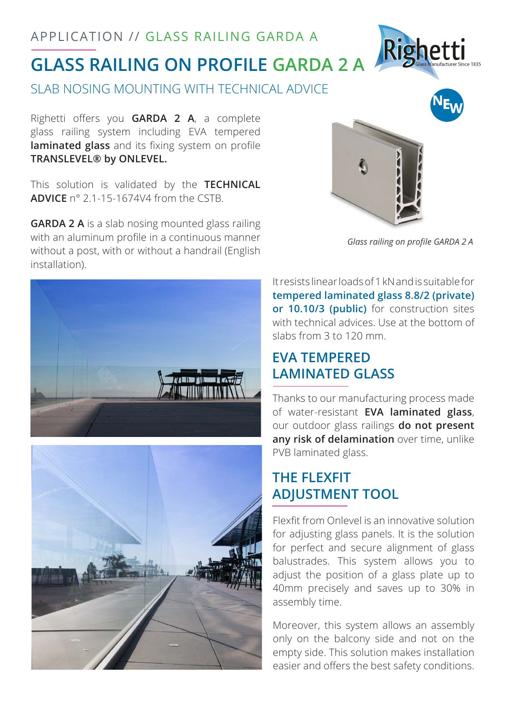# **GLASS RAILING ON PROFILE GARDA 2 A** APPLICATION // GLASS RAILING GARDA A

SLAB NOSING MOUNTING WITH TECHNICAL ADVICE

Righetti offers you **GARDA 2 A**, a complete glass railing system including EVA tempered **laminated glass** and its fixing system on profile **TRANSLEVEL® by ONLEVEL.**

This solution is validated by the **TECHNICAL ADVICE** n° 2.1-15-1674V4 from the CSTB.

**GARDA 2 A** is a slab nosing mounted glass railing with an aluminum profile in a continuous manner without a post, with or without a handrail (English installation).



*Glass railing on profile GARDA 2 A*

Righetti





It resists linear loads of 1 kN and is suitable for **tempered laminated glass 8.8/2 (private) or 10.10/3 (public)** for construction sites with technical advices. Use at the bottom of slabs from 3 to 120 mm.

### **EVA TEMPERED LAMINATED GLASS**

Thanks to our manufacturing process made of water-resistant **EVA laminated glass**, our outdoor glass railings **do not present any risk of delamination** over time, unlike PVB laminated glass.

## **THE FLEXFIT ADJUSTMENT TOOL**

Flexfit from Onlevel is an innovative solution for adjusting glass panels. It is the solution for perfect and secure alignment of glass balustrades. This system allows you to adjust the position of a glass plate up to 40mm precisely and saves up to 30% in assembly time.

Moreover, this system allows an assembly only on the balcony side and not on the empty side. This solution makes installation easier and offers the best safety conditions.